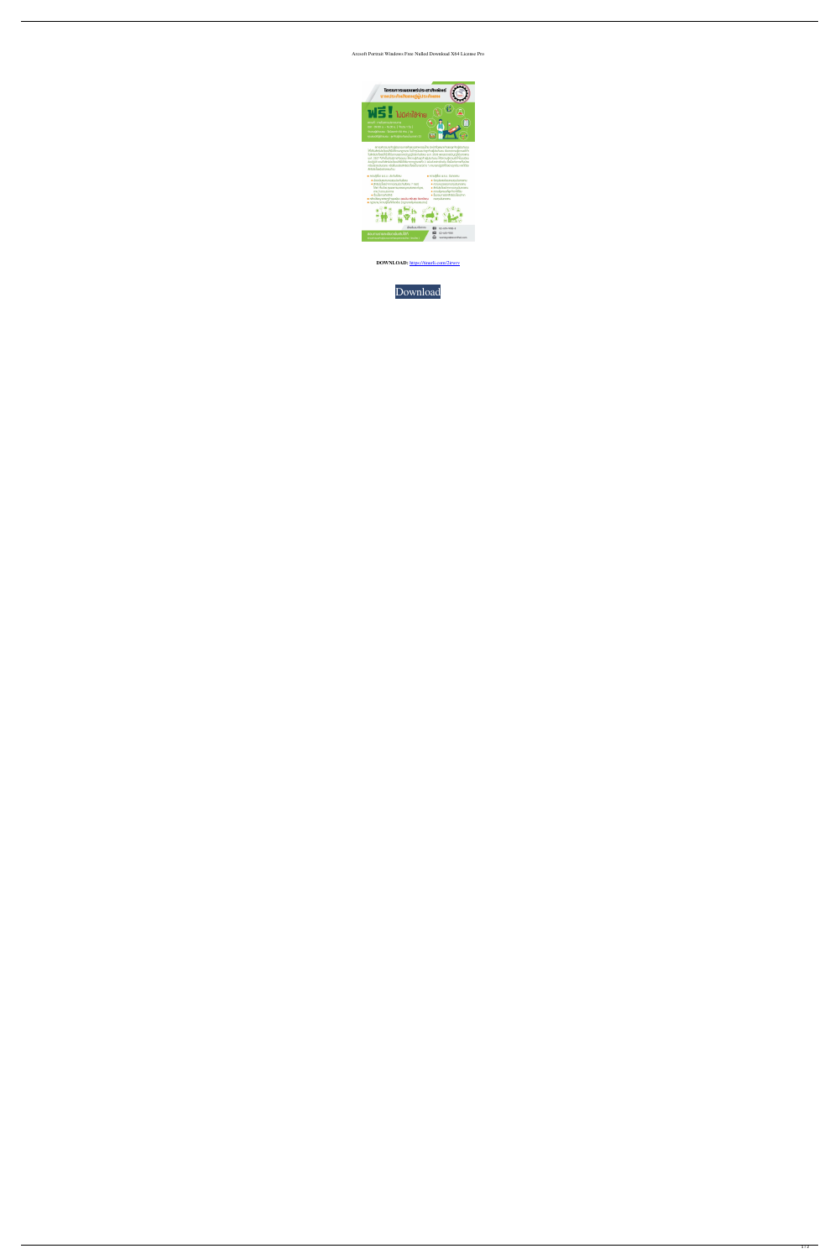## Arcsoft Portrait Windows Free Nulled Download X64 License Pro



สภาอมีการมายจ้ามปู้ประกอบการก้าและอุตสาหกรรมไทย มีหน้าที่ดูแลนายจ้ามและคูกจ้ามปู้ประกันตน<br>ให้ได้รับสิทธิประโยชน์ที่เม็มได้ตามกฎหมาย ในปัจจุบันแบบว่าลูกจ้ามปู้ประกันตน ยีมขาดความรู้ความเข้าใจ<br>ในสิทธิประโยชน์ที่เม็มได้รับตา



**DOWNLOAD:** <https://tinurli.com/2irwrv>